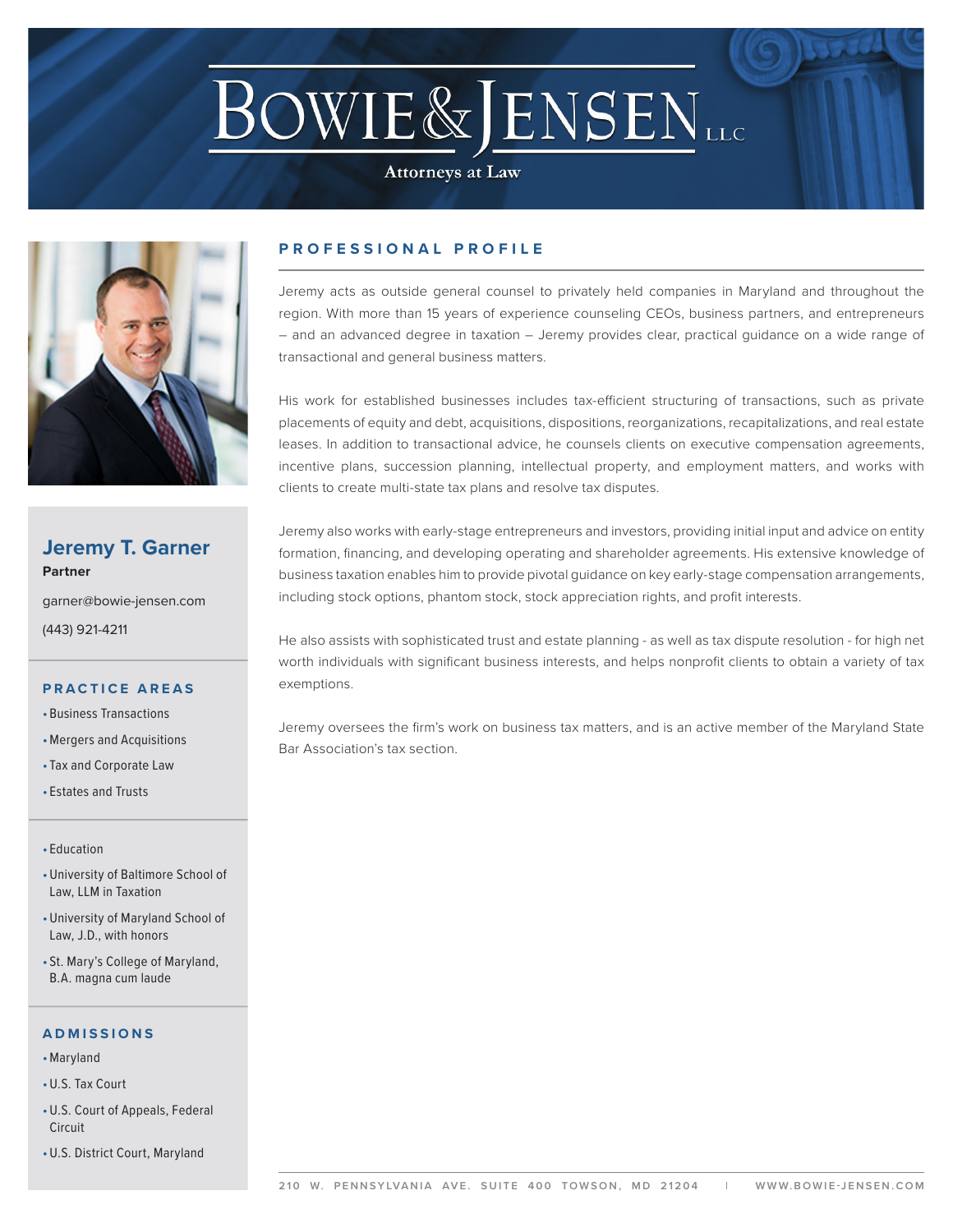# **BOWIE&JENSENLLC**

**Attorneys at Law** 



# **Jeremy T. Garner Partner**

garner@bowie-jensen.com (443) 921-4211

### **PRACTICE AREAS**

- Business Transactions
- •Mergers and Acquisitions
- Tax and Corporate Law
- Estates and Trusts

#### • Education

- •University of Baltimore School of Law, LLM in Taxation
- •University of Maryland School of Law, J.D., with honors
- St. Mary's College of Maryland, B.A. magna cum laude

#### **ADMISSIONS**

- •Maryland
- •U.S. Tax Court
- •U.S. Court of Appeals, Federal Circuit
- •U.S. District Court, Maryland

# **PROFESSIONAL PROFILE**

Jeremy acts as outside general counsel to privately held companies in Maryland and throughout the region. With more than 15 years of experience counseling CEOs, business partners, and entrepreneurs – and an advanced degree in taxation – Jeremy provides clear, practical guidance on a wide range of transactional and general business matters.

His work for established businesses includes tax-efficient structuring of transactions, such as private placements of equity and debt, acquisitions, dispositions, reorganizations, recapitalizations, and real estate leases. In addition to transactional advice, he counsels clients on executive compensation agreements, incentive plans, succession planning, intellectual property, and employment matters, and works with clients to create multi-state tax plans and resolve tax disputes.

Jeremy also works with early-stage entrepreneurs and investors, providing initial input and advice on entity formation, financing, and developing operating and shareholder agreements. His extensive knowledge of business taxation enables him to provide pivotal guidance on key early-stage compensation arrangements, including stock options, phantom stock, stock appreciation rights, and profit interests.

He also assists with sophisticated trust and estate planning - as well as tax dispute resolution - for high net worth individuals with significant business interests, and helps nonprofit clients to obtain a variety of tax exemptions.

Jeremy oversees the firm's work on business tax matters, and is an active member of the Maryland State Bar Association's tax section.